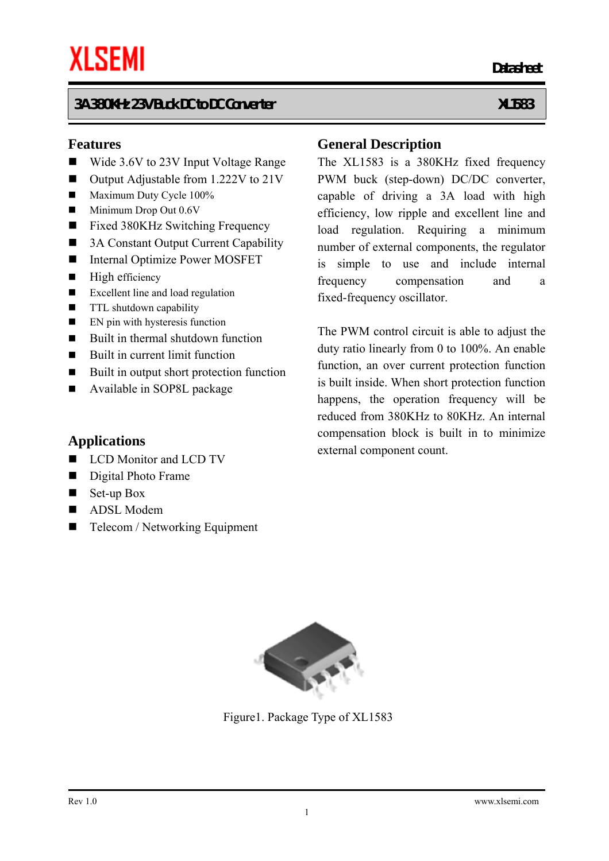#### **Features**

- Wide 3.6V to 23V Input Voltage Range
- Output Adjustable from 1.222V to 21V
- Maximum Duty Cycle 100%
- $\blacksquare$  Minimum Drop Out 0.6V
- Fixed 380KHz Switching Frequency
- 3A Constant Output Current Capability
- Internal Optimize Power MOSFET
- $\blacksquare$  High efficiency
- Excellent line and load regulation
- **TTL** shutdown capability
- $\blacksquare$  EN pin with hysteresis function
- $\blacksquare$  Built in thermal shutdown function
- $\blacksquare$  Built in current limit function
- Built in output short protection function
- Available in SOP8L package

#### **Applications**

- LCD Monitor and LCD TV
- Digital Photo Frame
- $\blacksquare$  Set-up Box
- ADSL Modem
- Telecom / Networking Equipment

#### **General Description**

*Datasheet* **Datasheet** 

The XL1583 is a 380KHz fixed frequency PWM buck (step-down) DC/DC converter, capable of driving a 3A load with high efficiency, low ripple and excellent line and load regulation. Requiring a minimum number of external components, the regulator is simple to use and include internal frequency compensation and a fixed-frequency oscillator.

The PWM control circuit is able to adjust the duty ratio linearly from 0 to 100%. An enable function, an over current protection function is built inside. When short protection function happens, the operation frequency will be reduced from 380KHz to 80KHz. An internal compensation block is built in to minimize external component count.



Figure1. Package Type of XL1583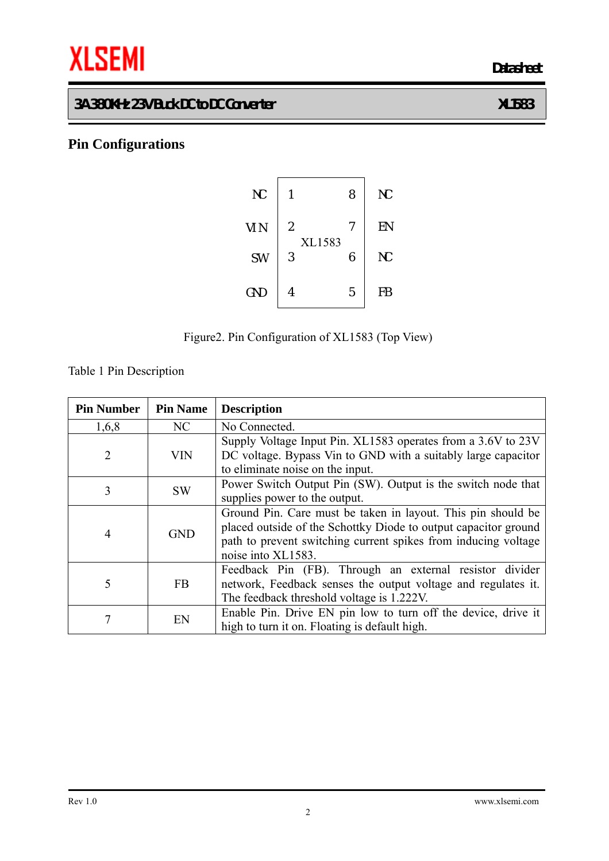# **THE SEMI** Datasheet

## **3A 380KHz 23V Buck DC to DC Converter XL1583**

## **Pin Configurations**





Table 1 Pin Description

| <b>Pin Number</b>                                                                                               | <b>Pin Name</b> | <b>Description</b>                                                                                                                                                                                                      |  |  |  |  |
|-----------------------------------------------------------------------------------------------------------------|-----------------|-------------------------------------------------------------------------------------------------------------------------------------------------------------------------------------------------------------------------|--|--|--|--|
| 1,6,8                                                                                                           | NC              | No Connected.                                                                                                                                                                                                           |  |  |  |  |
| $\overline{2}$                                                                                                  | <b>VIN</b>      | Supply Voltage Input Pin. XL1583 operates from a 3.6V to 23V<br>DC voltage. Bypass Vin to GND with a suitably large capacitor<br>to eliminate noise on the input.                                                       |  |  |  |  |
| Power Switch Output Pin (SW). Output is the switch node that<br>3<br><b>SW</b><br>supplies power to the output. |                 |                                                                                                                                                                                                                         |  |  |  |  |
| $\overline{4}$                                                                                                  | <b>GND</b>      | Ground Pin. Care must be taken in layout. This pin should be<br>placed outside of the Schottky Diode to output capacitor ground<br>path to prevent switching current spikes from inducing voltage<br>noise into XL1583. |  |  |  |  |
| 5                                                                                                               | <b>FB</b>       | Feedback Pin (FB). Through an external resistor divider<br>network, Feedback senses the output voltage and regulates it.<br>The feedback threshold voltage is 1.222V.                                                   |  |  |  |  |
| 7                                                                                                               | EN              | Enable Pin. Drive EN pin low to turn off the device, drive it<br>high to turn it on. Floating is default high.                                                                                                          |  |  |  |  |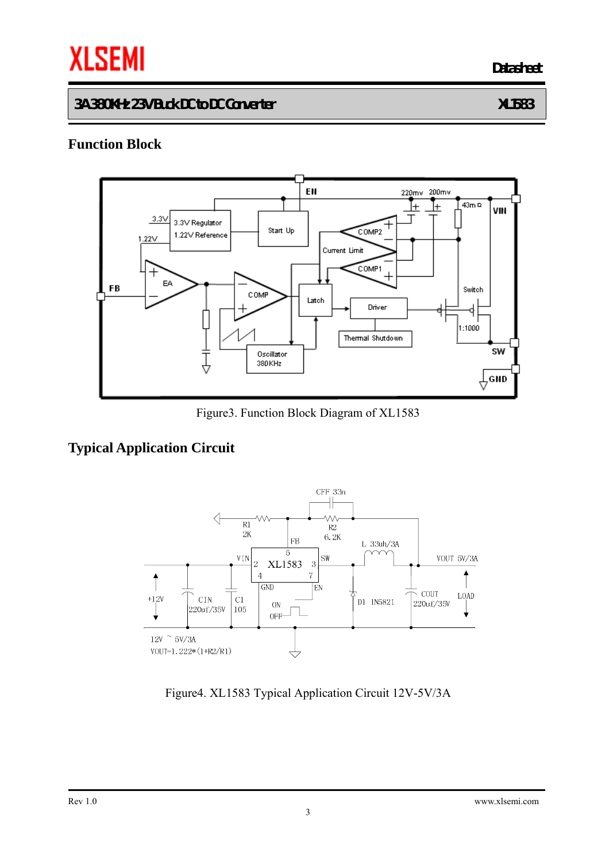# **THE SEMI** Datasheet

#### **3A 380KHz 23V Buck DC to DC Converter XL1583**

## **Function Block**



Figure3. Function Block Diagram of XL1583

## **Typical Application Circuit**



Figure4. XL1583 Typical Application Circuit 12V-5V/3A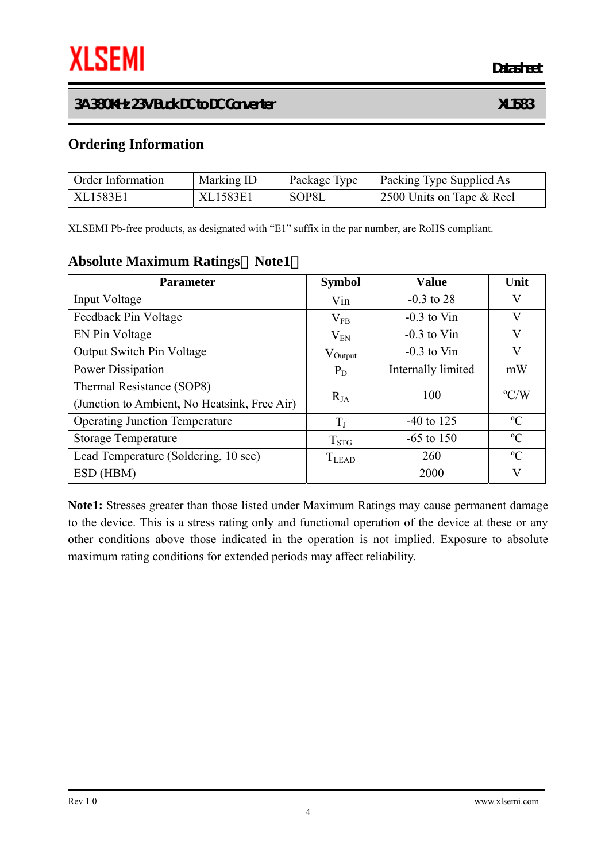#### **Ordering Information**

| Order Information | Marking ID | Package Type | Packing Type Supplied As  |
|-------------------|------------|--------------|---------------------------|
| XL1583E1          | XL1583E1   | SOP8L        | 2500 Units on Tape & Reel |

XLSEMI Pb-free products, as designated with "E1" suffix in the par number, are RoHS compliant.

#### **Absolute Maximum Ratings**(**Note1**)

| <b>Parameter</b>                             | <b>Symbol</b>       | <b>Value</b>       | Unit          |
|----------------------------------------------|---------------------|--------------------|---------------|
| Input Voltage                                | Vin                 | $-0.3$ to 28       | V             |
| Feedback Pin Voltage                         | $V_{FB}$            | $-0.3$ to Vin      | V             |
| EN Pin Voltage                               | $V_{EN}$            | $-0.3$ to Vin      | V             |
| <b>Output Switch Pin Voltage</b>             | $V_{\text{Output}}$ | $-0.3$ to Vin      | V             |
| Power Dissipation                            | $P_D$               | Internally limited | mW            |
| Thermal Resistance (SOP8)                    | $R_{JA}$            | 100                | $\rm ^{o}C/W$ |
| (Junction to Ambient, No Heatsink, Free Air) |                     |                    |               |
| <b>Operating Junction Temperature</b>        | $T_{I}$             | $-40$ to 125       | $\rm ^{o}C$   |
| <b>Storage Temperature</b>                   | $T_{STG}$           | $-65$ to 150       | $\rm ^{o}C$   |
| Lead Temperature (Soldering, 10 sec)         | <b>T</b> LEAD       | 260                | $\rm ^{o}C$   |
| ESD (HBM)                                    |                     | 2000               | V             |

**Note1:** Stresses greater than those listed under Maximum Ratings may cause permanent damage to the device. This is a stress rating only and functional operation of the device at these or any other conditions above those indicated in the operation is not implied. Exposure to absolute maximum rating conditions for extended periods may affect reliability.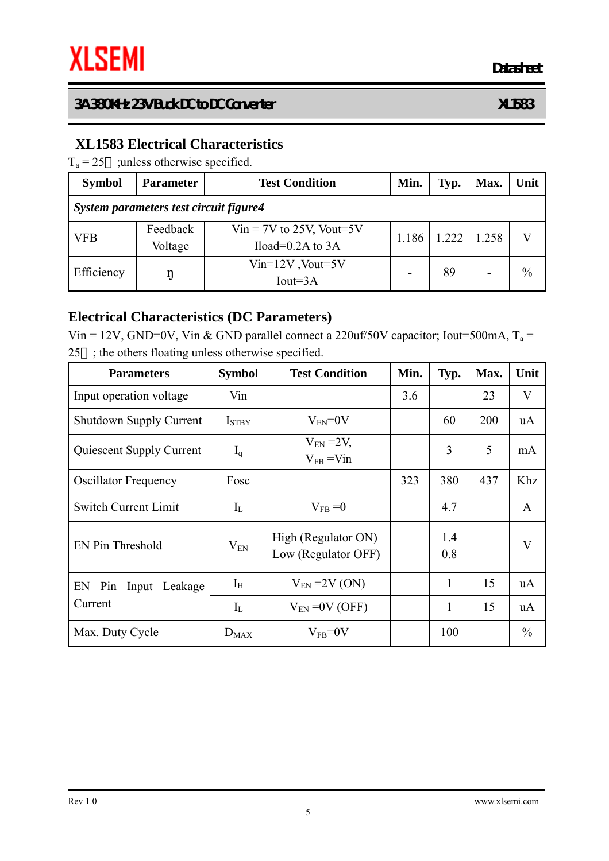## **XL1583 Electrical Characteristics**

 $T_a = 25$  ; unless otherwise specified.

| <b>Symbol</b>                          | <b>Parameter</b>    | <b>Test Condition</b>                               | Min.           | Typ. | Max.  | Unit          |  |  |
|----------------------------------------|---------------------|-----------------------------------------------------|----------------|------|-------|---------------|--|--|
| System parameters test circuit figure4 |                     |                                                     |                |      |       |               |  |  |
| <b>VFB</b>                             | Feedback<br>Voltage | $Vir = 7V$ to 25V, Vout=5V<br>Iload= $0.2A$ to $3A$ | 1.186<br>1.222 |      | 1.258 |               |  |  |
| Efficiency                             | ŋ                   | $Vin=12V$ , Vout=5V<br>$Iout=3A$                    |                |      |       | $\frac{0}{0}$ |  |  |

#### **Electrical Characteristics (DC Parameters)**

Vin = 12V, GND=0V, Vin & GND parallel connect a 220uf/50V capacitor; Iout=500mA,  $T_a$  = 25 ; the others floating unless otherwise specified.

| <b>Parameters</b>              | <b>Symbol</b>     | <b>Test Condition</b>                      | Min. | Typ.         | Max. | Unit          |
|--------------------------------|-------------------|--------------------------------------------|------|--------------|------|---------------|
| Input operation voltage        | Vin               |                                            | 3.6  |              | 23   | V             |
| <b>Shutdown Supply Current</b> | I <sub>STBY</sub> | $V_{EN} = 0V$                              |      | 60           | 200  | uA            |
| Quiescent Supply Current       | $I_q$             | $V_{EN}$ = 2V,<br>$V_{FB}$ = Vin           |      | 3            | 5    | mA            |
| <b>Oscillator Frequency</b>    | Fosc              |                                            | 323  | 380          | 437  | Khz           |
| <b>Switch Current Limit</b>    | $I_{L}$           | $V_{FB} = 0$                               |      | 4.7          |      | $\mathbf{A}$  |
| EN Pin Threshold               | $V_{EN}$          | High (Regulator ON)<br>Low (Regulator OFF) |      | 1.4<br>0.8   |      | V             |
| EN Pin Input Leakage           | $I_{H}$           | $V_{EN}$ = 2V (ON)                         |      | 1            | 15   | uA            |
| Current                        | $I_{L}$           | $V_{EN}$ = 0V (OFF)                        |      | $\mathbf{1}$ | 15   | <b>uA</b>     |
| Max. Duty Cycle                | $D_{MAX}$         | $V_{FB} = 0V$                              |      | 100          |      | $\frac{0}{0}$ |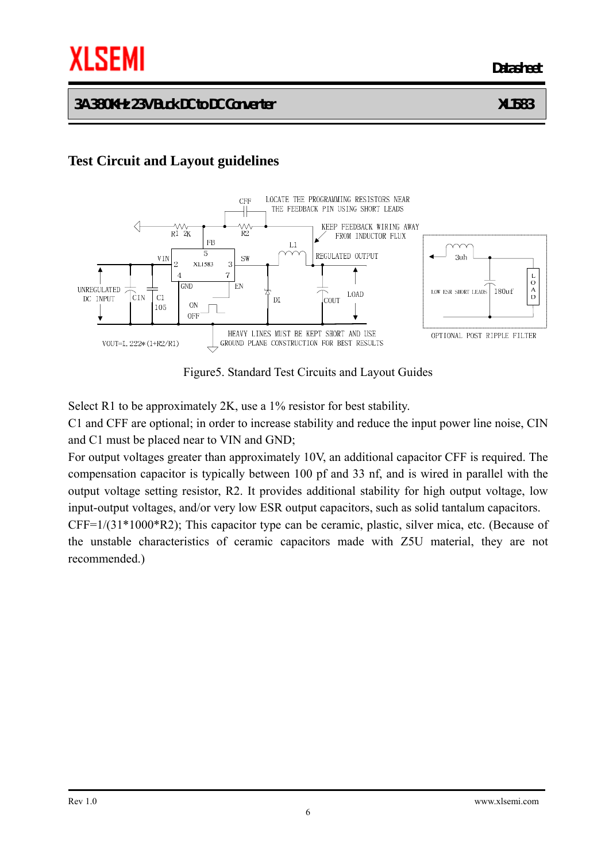*Datasheet* **Datasheet** 

#### **3A 380KHz 23V Buck DC to DC Converter XL1583**

## **Test Circuit and Layout guidelines**



Figure5. Standard Test Circuits and Layout Guides

Select R1 to be approximately 2K, use a 1% resistor for best stability.

C1 and CFF are optional; in order to increase stability and reduce the input power line noise, CIN and C1 must be placed near to VIN and GND;

For output voltages greater than approximately 10V, an additional capacitor CFF is required. The compensation capacitor is typically between 100 pf and 33 nf, and is wired in parallel with the output voltage setting resistor, R2. It provides additional stability for high output voltage, low input-output voltages, and/or very low ESR output capacitors, such as solid tantalum capacitors.

CFF=1/(31\*1000\*R2); This capacitor type can be ceramic, plastic, silver mica, etc. (Because of the unstable characteristics of ceramic capacitors made with Z5U material, they are not recommended.)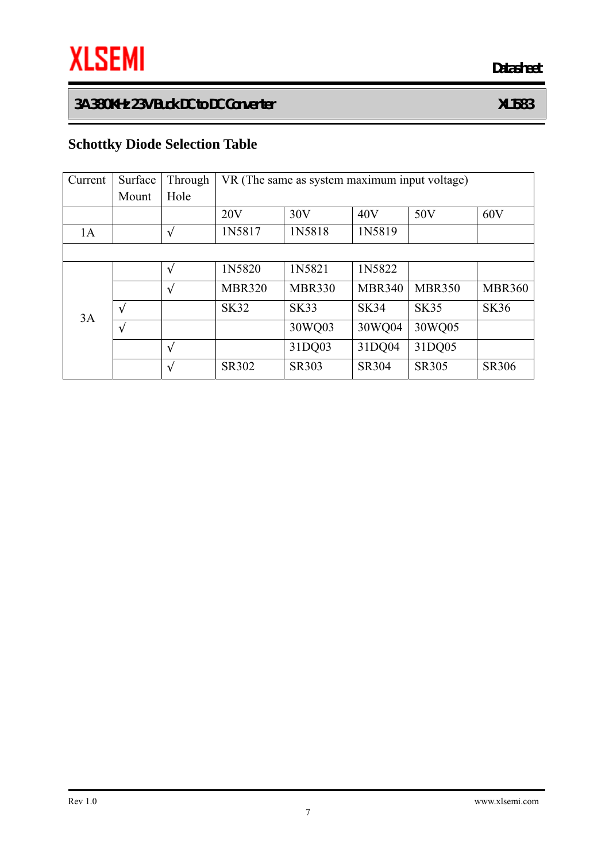# **Schottky Diode Selection Table**

| Current | Surface | Through | VR (The same as system maximum input voltage) |               |               |               |               |
|---------|---------|---------|-----------------------------------------------|---------------|---------------|---------------|---------------|
|         | Mount   | Hole    |                                               |               |               |               |               |
|         |         |         | 20V                                           | 30V           | 40V           | 50V           | 60V           |
| 1A      |         |         | 1N5817                                        | 1N5818        | 1N5819        |               |               |
|         |         |         |                                               |               |               |               |               |
| 3A      |         |         | 1N5820                                        | 1N5821        | 1N5822        |               |               |
|         |         |         | <b>MBR320</b>                                 | <b>MBR330</b> | <b>MBR340</b> | <b>MBR350</b> | <b>MBR360</b> |
|         |         |         | <b>SK32</b>                                   | <b>SK33</b>   | <b>SK34</b>   | <b>SK35</b>   | <b>SK36</b>   |
|         |         |         |                                               | 30WQ03        | 30WQ04        | 30WQ05        |               |
|         |         |         |                                               | 31DQ03        | 31DQ04        | 31DQ05        |               |
|         |         |         | SR302                                         | <b>SR303</b>  | <b>SR304</b>  | <b>SR305</b>  | <b>SR306</b>  |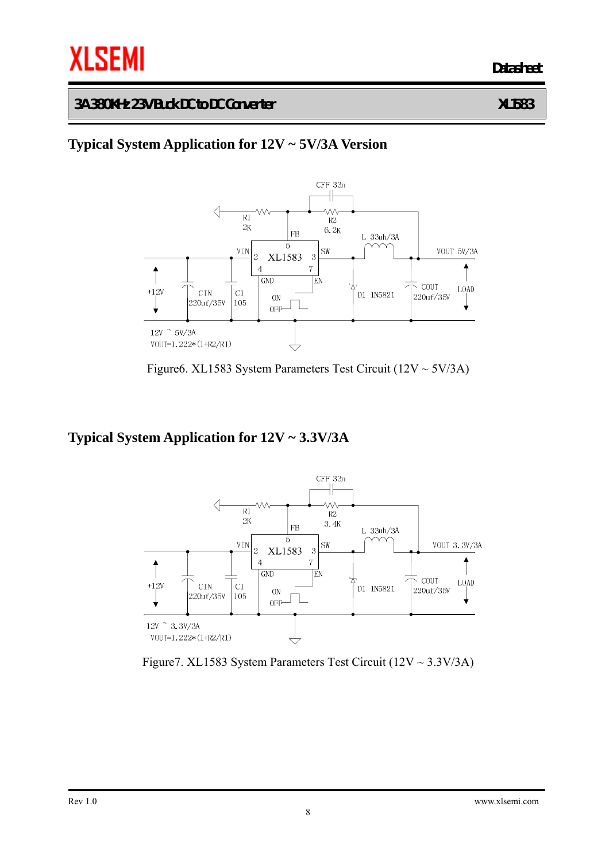## **Typical System Application for 12V ~ 5V/3A Version**



Figure6. XL1583 System Parameters Test Circuit  $(12V \sim 5V/3A)$ 

#### **Typical System Application for 12V ~ 3.3V/3A**